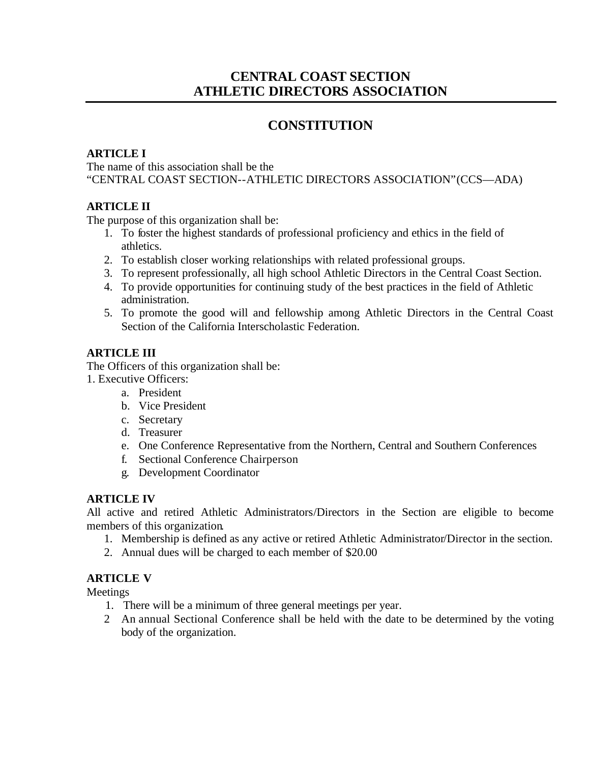# **CENTRAL COAST SECTION ATHLETIC DIRECTORS ASSOCIATION**

# **CONSTITUTION**

# **ARTICLE I**

The name of this association shall be the "CENTRAL COAST SECTION--ATHLETIC DIRECTORS ASSOCIATION" (CCS—ADA)

# **ARTICLE II**

The purpose of this organization shall be:

- 1. To foster the highest standards of professional proficiency and ethics in the field of athletics.
- 2. To establish closer working relationships with related professional groups.
- 3. To represent professionally, all high school Athletic Directors in the Central Coast Section.
- 4. To provide opportunities for continuing study of the best practices in the field of Athletic administration.
- 5. To promote the good will and fellowship among Athletic Directors in the Central Coast Section of the California Interscholastic Federation.

## **ARTICLE III**

The Officers of this organization shall be:

- 1. Executive Officers:
	- a. President
	- b. Vice President
	- c. Secretary
	- d. Treasurer
	- e. One Conference Representative from the Northern, Central and Southern Conferences
	- f. Sectional Conference Chairperson
	- g. Development Coordinator

## **ARTICLE IV**

All active and retired Athletic Administrators/Directors in the Section are eligible to become members of this organization.

- 1. Membership is defined as any active or retired Athletic Administrator/Director in the section.
- 2. Annual dues will be charged to each member of \$20.00

# **ARTICLE V**

Meetings

- 1. There will be a minimum of three general meetings per year.
- 2 An annual Sectional Conference shall be held with the date to be determined by the voting body of the organization.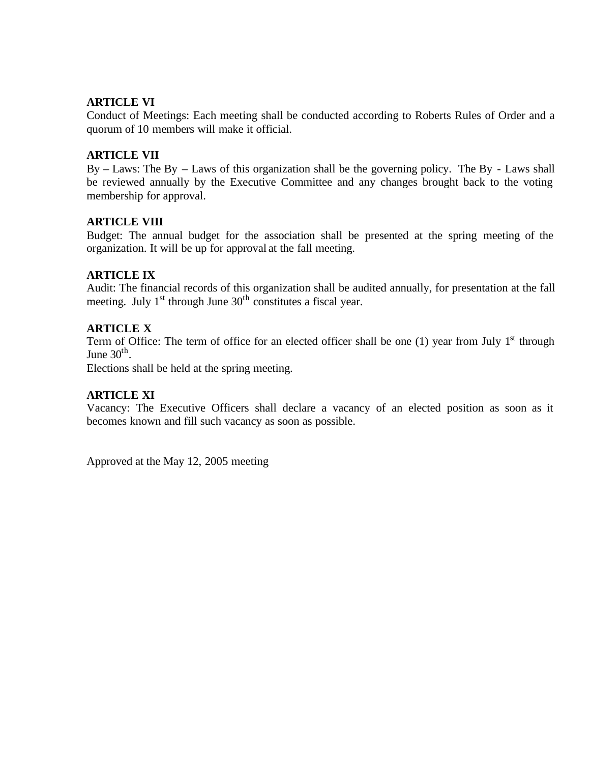### **ARTICLE VI**

Conduct of Meetings: Each meeting shall be conducted according to Roberts Rules of Order and a quorum of 10 members will make it official.

### **ARTICLE VII**

By – Laws: The By – Laws of this organization shall be the governing policy. The By - Laws shall be reviewed annually by the Executive Committee and any changes brought back to the voting membership for approval.

### **ARTICLE VIII**

Budget: The annual budget for the association shall be presented at the spring meeting of the organization. It will be up for approval at the fall meeting.

### **ARTICLE IX**

Audit: The financial records of this organization shall be audited annually, for presentation at the fall meeting. July  $1<sup>st</sup>$  through June  $30<sup>th</sup>$  constitutes a fiscal year.

### **ARTICLE X**

Term of Office: The term of office for an elected officer shall be one (1) year from July  $1<sup>st</sup>$  through June  $30<sup>th</sup>$ .

Elections shall be held at the spring meeting.

### **ARTICLE XI**

Vacancy: The Executive Officers shall declare a vacancy of an elected position as soon as it becomes known and fill such vacancy as soon as possible.

Approved at the May 12, 2005 meeting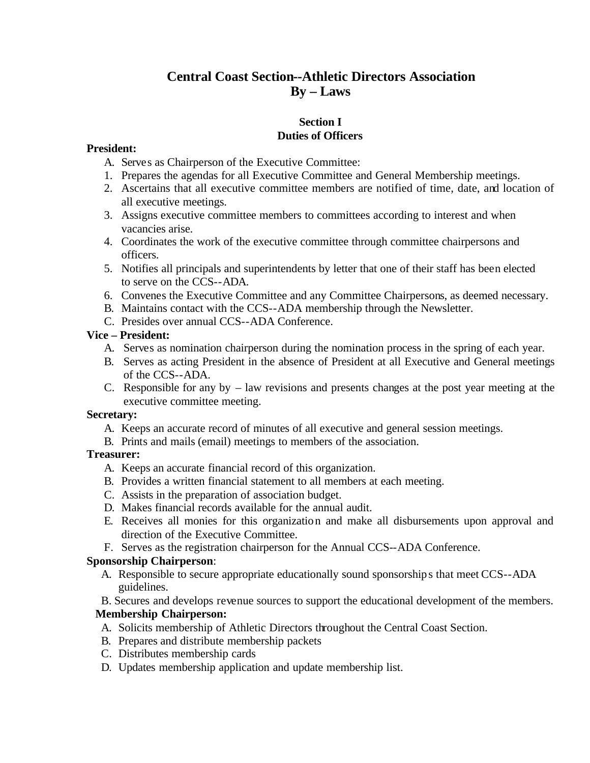# **Central Coast Section--Athletic Directors Association By – Laws**

### **Section I Duties of Officers**

### **President:**

- A. Serves as Chairperson of the Executive Committee:
- 1. Prepares the agendas for all Executive Committee and General Membership meetings.
- 2. Ascertains that all executive committee members are notified of time, date, and location of all executive meetings.
- 3. Assigns executive committee members to committees according to interest and when vacancies arise.
- 4. Coordinates the work of the executive committee through committee chairpersons and officers.
- 5. Notifies all principals and superintendents by letter that one of their staff has been elected to serve on the CCS--ADA.
- 6. Convenes the Executive Committee and any Committee Chairpersons, as deemed necessary.
- B. Maintains contact with the CCS--ADA membership through the Newsletter.
- C. Presides over annual CCS--ADA Conference.

## **Vice – President:**

- A. Serves as nomination chairperson during the nomination process in the spring of each year.
- B. Serves as acting President in the absence of President at all Executive and General meetings of the CCS--ADA.
- C. Responsible for any by law revisions and presents changes at the post year meeting at the executive committee meeting.

### **Secretary:**

- A. Keeps an accurate record of minutes of all executive and general session meetings.
- B. Prints and mails (email) meetings to members of the association.

## **Treasurer:**

- A. Keeps an accurate financial record of this organization.
- B. Provides a written financial statement to all members at each meeting.
- C. Assists in the preparation of association budget.
- D. Makes financial records available for the annual audit.
- E. Receives all monies for this organization and make all disbursements upon approval and direction of the Executive Committee.
- F. Serves as the registration chairperson for the Annual CCS--ADA Conference.

## **Sponsorship Chairperson**:

A. Responsible to secure appropriate educationally sound sponsorships that meet CCS--ADA guidelines.

### B. Secures and develops revenue sources to support the educational development of the members. **Membership Chairperson:**

- A. Solicits membership of Athletic Directors throughout the Central Coast Section.
- B. Prepares and distribute membership packets
- C. Distributes membership cards
- D. Updates membership application and update membership list.